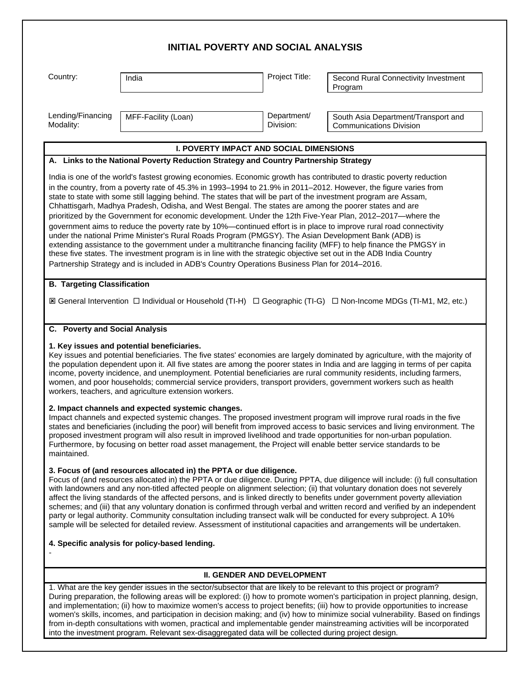|                                                                                                                                                                                                                                                                                                                                                                                                                                                                                                                                                                       | <b>INITIAL POVERTY AND SOCIAL ANALYSIS</b>                                                                                                                                                                                                                                                                                                                                                                                                                                                                                                                                                                                                                                                                                                                                                                                                                                                                                                                                                                                                                                                                                                                  |                                   |                                                                                                                                                                                                                                                                                                                                                                                                                                                                                                                                                                                                                                                          |
|-----------------------------------------------------------------------------------------------------------------------------------------------------------------------------------------------------------------------------------------------------------------------------------------------------------------------------------------------------------------------------------------------------------------------------------------------------------------------------------------------------------------------------------------------------------------------|-------------------------------------------------------------------------------------------------------------------------------------------------------------------------------------------------------------------------------------------------------------------------------------------------------------------------------------------------------------------------------------------------------------------------------------------------------------------------------------------------------------------------------------------------------------------------------------------------------------------------------------------------------------------------------------------------------------------------------------------------------------------------------------------------------------------------------------------------------------------------------------------------------------------------------------------------------------------------------------------------------------------------------------------------------------------------------------------------------------------------------------------------------------|-----------------------------------|----------------------------------------------------------------------------------------------------------------------------------------------------------------------------------------------------------------------------------------------------------------------------------------------------------------------------------------------------------------------------------------------------------------------------------------------------------------------------------------------------------------------------------------------------------------------------------------------------------------------------------------------------------|
| Country:                                                                                                                                                                                                                                                                                                                                                                                                                                                                                                                                                              | India                                                                                                                                                                                                                                                                                                                                                                                                                                                                                                                                                                                                                                                                                                                                                                                                                                                                                                                                                                                                                                                                                                                                                       | Project Title:                    | Second Rural Connectivity Investment<br>Program                                                                                                                                                                                                                                                                                                                                                                                                                                                                                                                                                                                                          |
| Lending/Financing<br>Modality:                                                                                                                                                                                                                                                                                                                                                                                                                                                                                                                                        | MFF-Facility (Loan)                                                                                                                                                                                                                                                                                                                                                                                                                                                                                                                                                                                                                                                                                                                                                                                                                                                                                                                                                                                                                                                                                                                                         | Department/<br>Division:          | South Asia Department/Transport and<br><b>Communications Division</b>                                                                                                                                                                                                                                                                                                                                                                                                                                                                                                                                                                                    |
|                                                                                                                                                                                                                                                                                                                                                                                                                                                                                                                                                                       | <b>I. POVERTY IMPACT AND SOCIAL DIMENSIONS</b>                                                                                                                                                                                                                                                                                                                                                                                                                                                                                                                                                                                                                                                                                                                                                                                                                                                                                                                                                                                                                                                                                                              |                                   |                                                                                                                                                                                                                                                                                                                                                                                                                                                                                                                                                                                                                                                          |
|                                                                                                                                                                                                                                                                                                                                                                                                                                                                                                                                                                       | A. Links to the National Poverty Reduction Strategy and Country Partnership Strategy                                                                                                                                                                                                                                                                                                                                                                                                                                                                                                                                                                                                                                                                                                                                                                                                                                                                                                                                                                                                                                                                        |                                   |                                                                                                                                                                                                                                                                                                                                                                                                                                                                                                                                                                                                                                                          |
|                                                                                                                                                                                                                                                                                                                                                                                                                                                                                                                                                                       | India is one of the world's fastest growing economies. Economic growth has contributed to drastic poverty reduction<br>in the country, from a poverty rate of 45.3% in 1993–1994 to 21.9% in 2011–2012. However, the figure varies from<br>state to state with some still lagging behind. The states that will be part of the investment program are Assam,<br>Chhattisgarh, Madhya Pradesh, Odisha, and West Bengal. The states are among the poorer states and are<br>prioritized by the Government for economic development. Under the 12th Five-Year Plan, 2012-2017-where the<br>government aims to reduce the poverty rate by 10%—continued effort is in place to improve rural road connectivity<br>under the national Prime Minister's Rural Roads Program (PMGSY). The Asian Development Bank (ADB) is<br>extending assistance to the government under a multitranche financing facility (MFF) to help finance the PMGSY in<br>these five states. The investment program is in line with the strategic objective set out in the ADB India Country<br>Partnership Strategy and is included in ADB's Country Operations Business Plan for 2014-2016. |                                   |                                                                                                                                                                                                                                                                                                                                                                                                                                                                                                                                                                                                                                                          |
| <b>B. Targeting Classification</b><br>C. Poverty and Social Analysis                                                                                                                                                                                                                                                                                                                                                                                                                                                                                                  |                                                                                                                                                                                                                                                                                                                                                                                                                                                                                                                                                                                                                                                                                                                                                                                                                                                                                                                                                                                                                                                                                                                                                             |                                   | I General Intervention □ Individual or Household (TI-H) □ Geographic (TI-G) □ Non-Income MDGs (TI-M1, M2, etc.)                                                                                                                                                                                                                                                                                                                                                                                                                                                                                                                                          |
|                                                                                                                                                                                                                                                                                                                                                                                                                                                                                                                                                                       | 1. Key issues and potential beneficiaries.<br>women, and poor households; commercial service providers, transport providers, government workers such as health<br>workers, teachers, and agriculture extension workers.                                                                                                                                                                                                                                                                                                                                                                                                                                                                                                                                                                                                                                                                                                                                                                                                                                                                                                                                     |                                   | Key issues and potential beneficiaries. The five states' economies are largely dominated by agriculture, with the majority of<br>the population dependent upon it. All five states are among the poorer states in India and are lagging in terms of per capita<br>income, poverty incidence, and unemployment. Potential beneficiaries are rural community residents, including farmers,                                                                                                                                                                                                                                                                 |
| 2. Impact channels and expected systemic changes.<br>Impact channels and expected systemic changes. The proposed investment program will improve rural roads in the five<br>states and beneficiaries (including the poor) will benefit from improved access to basic services and living environment. The<br>proposed investment program will also result in improved livelihood and trade opportunities for non-urban population.<br>Furthermore, by focusing on better road asset management, the Project will enable better service standards to be<br>maintained. |                                                                                                                                                                                                                                                                                                                                                                                                                                                                                                                                                                                                                                                                                                                                                                                                                                                                                                                                                                                                                                                                                                                                                             |                                   |                                                                                                                                                                                                                                                                                                                                                                                                                                                                                                                                                                                                                                                          |
|                                                                                                                                                                                                                                                                                                                                                                                                                                                                                                                                                                       | 3. Focus of (and resources allocated in) the PPTA or due diligence.<br>party or legal authority. Community consultation including transect walk will be conducted for every subproject. A 10%                                                                                                                                                                                                                                                                                                                                                                                                                                                                                                                                                                                                                                                                                                                                                                                                                                                                                                                                                               |                                   | Focus of (and resources allocated in) the PPTA or due diligence. During PPTA, due diligence will include: (i) full consultation<br>with landowners and any non-titled affected people on alignment selection; (ii) that voluntary donation does not severely<br>affect the living standards of the affected persons, and is linked directly to benefits under government poverty alleviation<br>schemes; and (iii) that any voluntary donation is confirmed through verbal and written record and verified by an independent<br>sample will be selected for detailed review. Assessment of institutional capacities and arrangements will be undertaken. |
|                                                                                                                                                                                                                                                                                                                                                                                                                                                                                                                                                                       | 4. Specific analysis for policy-based lending.                                                                                                                                                                                                                                                                                                                                                                                                                                                                                                                                                                                                                                                                                                                                                                                                                                                                                                                                                                                                                                                                                                              |                                   |                                                                                                                                                                                                                                                                                                                                                                                                                                                                                                                                                                                                                                                          |
|                                                                                                                                                                                                                                                                                                                                                                                                                                                                                                                                                                       |                                                                                                                                                                                                                                                                                                                                                                                                                                                                                                                                                                                                                                                                                                                                                                                                                                                                                                                                                                                                                                                                                                                                                             | <b>II. GENDER AND DEVELOPMENT</b> |                                                                                                                                                                                                                                                                                                                                                                                                                                                                                                                                                                                                                                                          |
|                                                                                                                                                                                                                                                                                                                                                                                                                                                                                                                                                                       | 1. What are the key gender issues in the sector/subsector that are likely to be relevant to this project or program?                                                                                                                                                                                                                                                                                                                                                                                                                                                                                                                                                                                                                                                                                                                                                                                                                                                                                                                                                                                                                                        |                                   | During preparation, the following areas will be explored: (i) how to promote women's participation in project planning, design,<br>and implementation; (ii) how to maximize women's access to project benefits; (iii) how to provide opportunities to increase<br>women's skills, incomes, and participation in decision making; and (iv) how to minimize social vulnerability. Based on findings<br>from in-depth consultations with women, practical and implementable gender mainstreaming activities will be incorporated                                                                                                                            |

into the investment program. Relevant sex-disaggregated data will be collected during project design.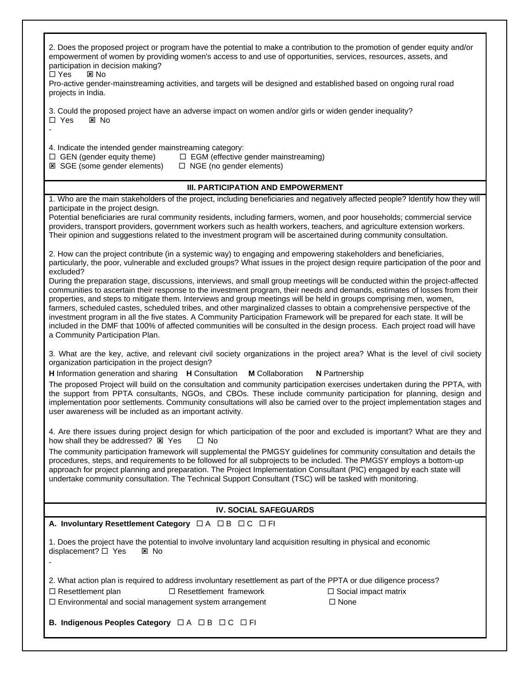| 2. Does the proposed project or program have the potential to make a contribution to the promotion of gender equity and/or<br>empowerment of women by providing women's access to and use of opportunities, services, resources, assets, and<br>participation in decision making?<br>□ Yes<br>図 No<br>Pro-active gender-mainstreaming activities, and targets will be designed and established based on ongoing rural road<br>projects in India.                                                                                                                                                                                                                                                                                                                                                                                                                                                                                                                                                                                                                                                                                                                                        |  |  |  |  |
|-----------------------------------------------------------------------------------------------------------------------------------------------------------------------------------------------------------------------------------------------------------------------------------------------------------------------------------------------------------------------------------------------------------------------------------------------------------------------------------------------------------------------------------------------------------------------------------------------------------------------------------------------------------------------------------------------------------------------------------------------------------------------------------------------------------------------------------------------------------------------------------------------------------------------------------------------------------------------------------------------------------------------------------------------------------------------------------------------------------------------------------------------------------------------------------------|--|--|--|--|
| 3. Could the proposed project have an adverse impact on women and/or girls or widen gender inequality?<br>$\Box$ Yes<br>区 No                                                                                                                                                                                                                                                                                                                                                                                                                                                                                                                                                                                                                                                                                                                                                                                                                                                                                                                                                                                                                                                            |  |  |  |  |
| 4. Indicate the intended gender mainstreaming category:<br>$\Box$ GEN (gender equity theme)<br>$\Box$ EGM (effective gender mainstreaming)<br><b>E</b> SGE (some gender elements)<br>$\Box$ NGE (no gender elements)                                                                                                                                                                                                                                                                                                                                                                                                                                                                                                                                                                                                                                                                                                                                                                                                                                                                                                                                                                    |  |  |  |  |
| <b>III. PARTICIPATION AND EMPOWERMENT</b>                                                                                                                                                                                                                                                                                                                                                                                                                                                                                                                                                                                                                                                                                                                                                                                                                                                                                                                                                                                                                                                                                                                                               |  |  |  |  |
| 1. Who are the main stakeholders of the project, including beneficiaries and negatively affected people? Identify how they will                                                                                                                                                                                                                                                                                                                                                                                                                                                                                                                                                                                                                                                                                                                                                                                                                                                                                                                                                                                                                                                         |  |  |  |  |
| participate in the project design.<br>Potential beneficiaries are rural community residents, including farmers, women, and poor households; commercial service<br>providers, transport providers, government workers such as health workers, teachers, and agriculture extension workers.<br>Their opinion and suggestions related to the investment program will be ascertained during community consultation.                                                                                                                                                                                                                                                                                                                                                                                                                                                                                                                                                                                                                                                                                                                                                                         |  |  |  |  |
| 2. How can the project contribute (in a systemic way) to engaging and empowering stakeholders and beneficiaries,<br>particularly, the poor, vulnerable and excluded groups? What issues in the project design require participation of the poor and<br>excluded?                                                                                                                                                                                                                                                                                                                                                                                                                                                                                                                                                                                                                                                                                                                                                                                                                                                                                                                        |  |  |  |  |
| During the preparation stage, discussions, interviews, and small group meetings will be conducted within the project-affected<br>communities to ascertain their response to the investment program, their needs and demands, estimates of losses from their<br>properties, and steps to mitigate them. Interviews and group meetings will be held in groups comprising men, women,<br>farmers, scheduled castes, scheduled tribes, and other marginalized classes to obtain a comprehensive perspective of the<br>investment program in all the five states. A Community Participation Framework will be prepared for each state. It will be<br>included in the DMF that 100% of affected communities will be consulted in the design process. Each project road will have<br>a Community Participation Plan.                                                                                                                                                                                                                                                                                                                                                                           |  |  |  |  |
| 3. What are the key, active, and relevant civil society organizations in the project area? What is the level of civil society<br>organization participation in the project design?<br><b>M</b> Collaboration<br><b>H</b> Information generation and sharing <b>H</b> Consultation<br><b>N</b> Partnership<br>The proposed Project will build on the consultation and community participation exercises undertaken during the PPTA, with<br>the support from PPTA consultants, NGOs, and CBOs. These include community participation for planning, design and<br>implementation poor settlements. Community consultations will also be carried over to the project implementation stages and<br>user awareness will be included as an important activity.<br>4. Are there issues during project design for which participation of the poor and excluded is important? What are they and<br>how shall they be addressed? E Yes<br>□ No<br>The community participation framework will supplemental the PMGSY guidelines for community consultation and details the<br>procedures, steps, and requirements to be followed for all subprojects to be included. The PMGSY employs a bottom-up |  |  |  |  |
| approach for project planning and preparation. The Project Implementation Consultant (PIC) engaged by each state will<br>undertake community consultation. The Technical Support Consultant (TSC) will be tasked with monitoring.                                                                                                                                                                                                                                                                                                                                                                                                                                                                                                                                                                                                                                                                                                                                                                                                                                                                                                                                                       |  |  |  |  |
| <b>IV. SOCIAL SAFEGUARDS</b>                                                                                                                                                                                                                                                                                                                                                                                                                                                                                                                                                                                                                                                                                                                                                                                                                                                                                                                                                                                                                                                                                                                                                            |  |  |  |  |
| A. Involuntary Resettlement Category $\Box A \Box B \Box C \Box F I$                                                                                                                                                                                                                                                                                                                                                                                                                                                                                                                                                                                                                                                                                                                                                                                                                                                                                                                                                                                                                                                                                                                    |  |  |  |  |
| 1. Does the project have the potential to involve involuntary land acquisition resulting in physical and economic<br>displacement? □ Yes<br>図 No                                                                                                                                                                                                                                                                                                                                                                                                                                                                                                                                                                                                                                                                                                                                                                                                                                                                                                                                                                                                                                        |  |  |  |  |
| 2. What action plan is required to address involuntary resettlement as part of the PPTA or due diligence process?<br>$\Box$ Resettlement plan<br>$\Box$ Resettlement framework<br>$\Box$ Social impact matrix<br>$\Box$ None<br>$\Box$ Environmental and social management system arrangement                                                                                                                                                                                                                                                                                                                                                                                                                                                                                                                                                                                                                                                                                                                                                                                                                                                                                           |  |  |  |  |
| B. Indigenous Peoples Category □ A □ B □ C □ FI                                                                                                                                                                                                                                                                                                                                                                                                                                                                                                                                                                                                                                                                                                                                                                                                                                                                                                                                                                                                                                                                                                                                         |  |  |  |  |